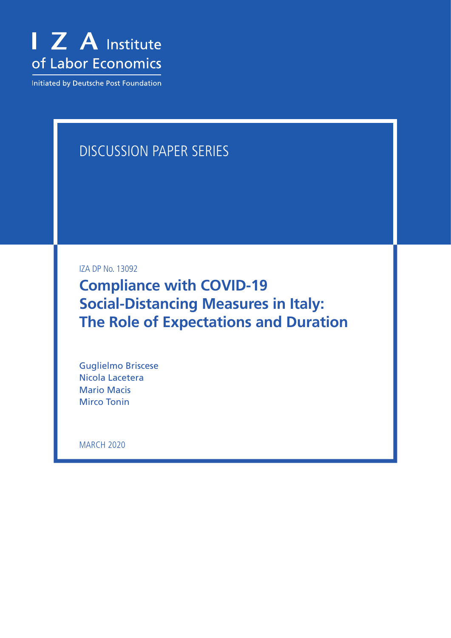

Initiated by Deutsche Post Foundation

## DISCUSSION PAPER SERIES

IZA DP No. 13092

**Compliance with COVID-19 Social-Distancing Measures in Italy: The Role of Expectations and Duration**

Guglielmo Briscese Nicola Lacetera Mario Macis Mirco Tonin

MARCH 2020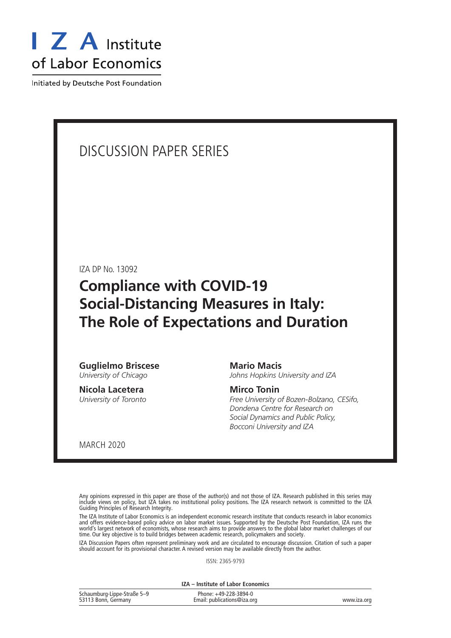

Initiated by Deutsche Post Foundation

## DISCUSSION PAPER SERIES

IZA DP No. 13092

## **Compliance with COVID-19 Social-Distancing Measures in Italy: The Role of Expectations and Duration**

**Guglielmo Briscese** *University of Chicago*

**Nicola Lacetera** *University of Toronto*

#### **Mario Macis**

*Johns Hopkins University and IZA*

#### **Mirco Tonin**

*Free University of Bozen-Bolzano, CESifo, Dondena Centre for Research on Social Dynamics and Public Policy, Bocconi University and IZA*

MARCH 2020

Any opinions expressed in this paper are those of the author(s) and not those of IZA. Research published in this series may include views on policy, but IZA takes no institutional policy positions. The IZA research network is committed to the IZA Guiding Principles of Research Integrity.

The IZA Institute of Labor Economics is an independent economic research institute that conducts research in labor economics and offers evidence-based policy advice on labor market issues. Supported by the Deutsche Post Foundation, IZA runs the world's largest network of economists, whose research aims to provide answers to the global labor market challenges of our time. Our key objective is to build bridges between academic research, policymakers and society.

IZA Discussion Papers often represent preliminary work and are circulated to encourage discussion. Citation of such a paper should account for its provisional character. A revised version may be available directly from the author.

ISSN: 2365-9793

**IZA – Institute of Labor Economics**

| Schaumburg-Lippe-Straße 5-9 | Phone: +49-228-3894-0       |             |
|-----------------------------|-----------------------------|-------------|
| 53113 Bonn, Germany         | Email: publications@iza.org | www.iza.org |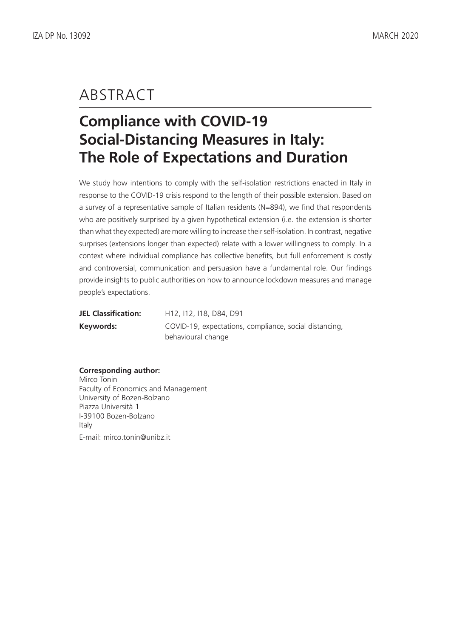## ABSTRACT

# **Compliance with COVID-19 Social-Distancing Measures in Italy: The Role of Expectations and Duration**

We study how intentions to comply with the self-isolation restrictions enacted in Italy in response to the COVID-19 crisis respond to the length of their possible extension. Based on a survey of a representative sample of Italian residents (N=894), we find that respondents who are positively surprised by a given hypothetical extension (i.e. the extension is shorter than what they expected) are more willing to increase their self-isolation. In contrast, negative surprises (extensions longer than expected) relate with a lower willingness to comply. In a context where individual compliance has collective benefits, but full enforcement is costly and controversial, communication and persuasion have a fundamental role. Our findings provide insights to public authorities on how to announce lockdown measures and manage people's expectations.

| JEL Classification: | H12, I12, I18, D84, D91                                |
|---------------------|--------------------------------------------------------|
| Keywords:           | COVID-19, expectations, compliance, social distancing, |
|                     | behavioural change                                     |

#### **Corresponding author:**

Mirco Tonin Faculty of Economics and Management University of Bozen-Bolzano Piazza Università 1 I-39100 Bozen-Bolzano Italy E-mail: mirco.tonin@unibz.it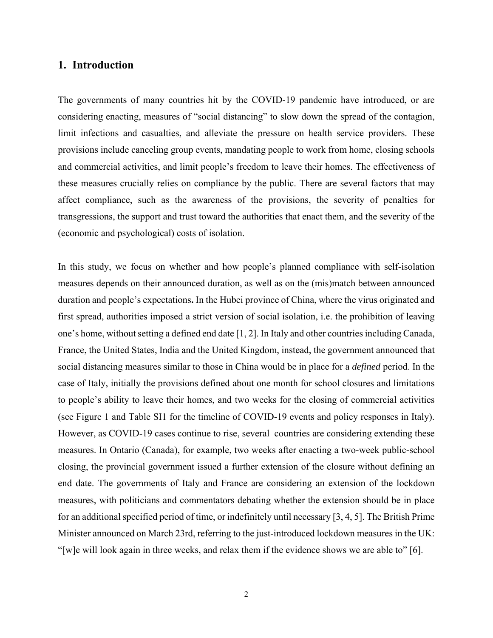#### **1. Introduction**

The governments of many countries hit by the COVID-19 pandemic have introduced, or are considering enacting, measures of "social distancing" to slow down the spread of the contagion, limit infections and casualties, and alleviate the pressure on health service providers. These provisions include canceling group events, mandating people to work from home, closing schools and commercial activities, and limit people's freedom to leave their homes. The effectiveness of these measures crucially relies on compliance by the public. There are several factors that may affect compliance, such as the awareness of the provisions, the severity of penalties for transgressions, the support and trust toward the authorities that enact them, and the severity of the (economic and psychological) costs of isolation.

In this study, we focus on whether and how people's planned compliance with self-isolation measures depends on their announced duration, as well as on the (mis)match between announced duration and people's expectations**.** In the Hubei province of China, where the virus originated and first spread, authorities imposed a strict version of social isolation, i.e. the prohibition of leaving one's home, without setting a defined end date [1, 2]. In Italy and other countries including Canada, France, the United States, India and the United Kingdom, instead, the government announced that social distancing measures similar to those in China would be in place for a *defined* period. In the case of Italy, initially the provisions defined about one month for school closures and limitations to people's ability to leave their homes, and two weeks for the closing of commercial activities (see Figure 1 and Table SI1 for the timeline of COVID-19 events and policy responses in Italy). However, as COVID-19 cases continue to rise, several countries are considering extending these measures. In Ontario (Canada), for example, two weeks after enacting a two-week public-school closing, the provincial government issued a further extension of the closure without defining an end date. The governments of Italy and France are considering an extension of the lockdown measures, with politicians and commentators debating whether the extension should be in place for an additional specified period of time, or indefinitely until necessary [3, 4, 5]. The British Prime Minister announced on March 23rd, referring to the just-introduced lockdown measures in the UK: "[w]e will look again in three weeks, and relax them if the evidence shows we are able to" [6].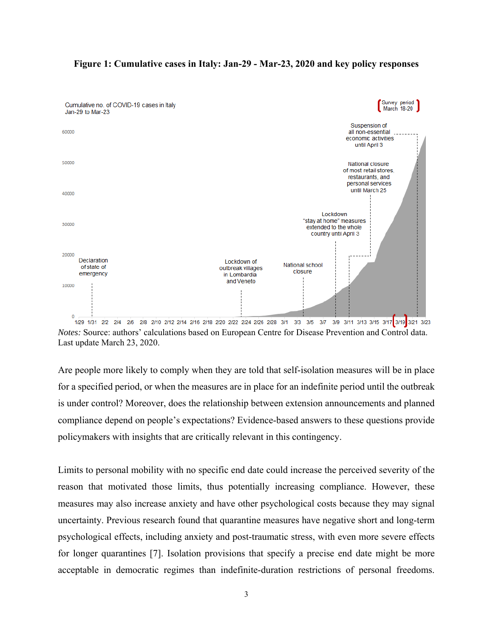

#### **Figure 1: Cumulative cases in Italy: Jan-29 - Mar-23, 2020 and key policy responses**

*Notes:* Source: authors' calculations based on European Centre for Disease Prevention and Control data. Last update March 23, 2020.

Are people more likely to comply when they are told that self-isolation measures will be in place for a specified period, or when the measures are in place for an indefinite period until the outbreak is under control? Moreover, does the relationship between extension announcements and planned compliance depend on people's expectations? Evidence-based answers to these questions provide policymakers with insights that are critically relevant in this contingency.

Limits to personal mobility with no specific end date could increase the perceived severity of the reason that motivated those limits, thus potentially increasing compliance. However, these measures may also increase anxiety and have other psychological costs because they may signal uncertainty. Previous research found that quarantine measures have negative short and long-term psychological effects, including anxiety and post-traumatic stress, with even more severe effects for longer quarantines [7]. Isolation provisions that specify a precise end date might be more acceptable in democratic regimes than indefinite-duration restrictions of personal freedoms.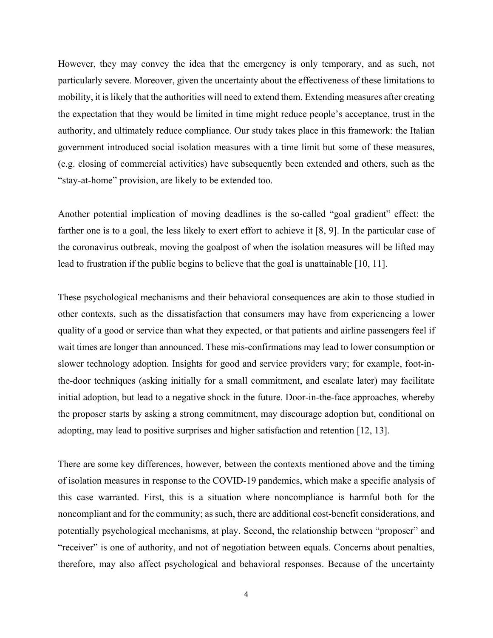However, they may convey the idea that the emergency is only temporary, and as such, not particularly severe. Moreover, given the uncertainty about the effectiveness of these limitations to mobility, it is likely that the authorities will need to extend them. Extending measures after creating the expectation that they would be limited in time might reduce people's acceptance, trust in the authority, and ultimately reduce compliance. Our study takes place in this framework: the Italian government introduced social isolation measures with a time limit but some of these measures, (e.g. closing of commercial activities) have subsequently been extended and others, such as the "stay-at-home" provision, are likely to be extended too.

Another potential implication of moving deadlines is the so-called "goal gradient" effect: the farther one is to a goal, the less likely to exert effort to achieve it [8, 9]. In the particular case of the coronavirus outbreak, moving the goalpost of when the isolation measures will be lifted may lead to frustration if the public begins to believe that the goal is unattainable [10, 11].

These psychological mechanisms and their behavioral consequences are akin to those studied in other contexts, such as the dissatisfaction that consumers may have from experiencing a lower quality of a good or service than what they expected, or that patients and airline passengers feel if wait times are longer than announced. These mis-confirmations may lead to lower consumption or slower technology adoption. Insights for good and service providers vary; for example, foot-inthe-door techniques (asking initially for a small commitment, and escalate later) may facilitate initial adoption, but lead to a negative shock in the future. Door-in-the-face approaches, whereby the proposer starts by asking a strong commitment, may discourage adoption but, conditional on adopting, may lead to positive surprises and higher satisfaction and retention [12, 13].

There are some key differences, however, between the contexts mentioned above and the timing of isolation measures in response to the COVID-19 pandemics, which make a specific analysis of this case warranted. First, this is a situation where noncompliance is harmful both for the noncompliant and for the community; as such, there are additional cost-benefit considerations, and potentially psychological mechanisms, at play. Second, the relationship between "proposer" and "receiver" is one of authority, and not of negotiation between equals. Concerns about penalties, therefore, may also affect psychological and behavioral responses. Because of the uncertainty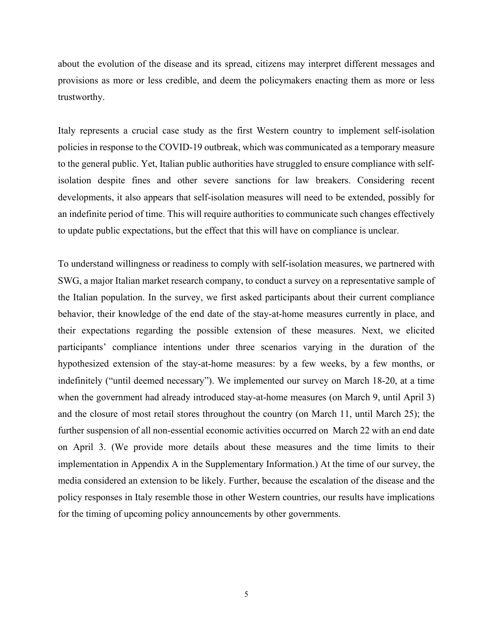about the evolution of the disease and its spread, citizens may interpret different messages and provisions as more or less credible, and deem the policymakers enacting them as more or less trustworthy.

Italy represents a crucial case study as the first Western country to implement self-isolation policies in response to the COVID-19 outbreak, which was communicated as a temporary measure to the general public. Yet, Italian public authorities have struggled to ensure compliance with selfisolation despite fines and other severe sanctions for law breakers. Considering recent developments, it also appears that self-isolation measures will need to be extended, possibly for an indefinite period of time. This will require authorities to communicate such changes effectively to update public expectations, but the effect that this will have on compliance is unclear.

To understand willingness or readiness to comply with self-isolation measures, we partnered with SWG, a major Italian market research company, to conduct a survey on a representative sample of the Italian population. In the survey, we first asked participants about their current compliance behavior, their knowledge of the end date of the stay-at-home measures currently in place, and their expectations regarding the possible extension of these measures. Next, we elicited participants' compliance intentions under three scenarios varying in the duration of the hypothesized extension of the stay-at-home measures: by a few weeks, by a few months, or indefinitely ("until deemed necessary"). We implemented our survey on March 18-20, at a time when the government had already introduced stay-at-home measures (on March 9, until April 3) and the closure of most retail stores throughout the country (on March 11, until March 25); the further suspension of all non-essential economic activities occurred on March 22 with an end date on April 3. (We provide more details about these measures and the time limits to their implementation in Appendix A in the Supplementary Information.) At the time of our survey, the media considered an extension to be likely. Further, because the escalation of the disease and the policy responses in Italy resemble those in other Western countries, our results have implications for the timing of upcoming policy announcements by other governments.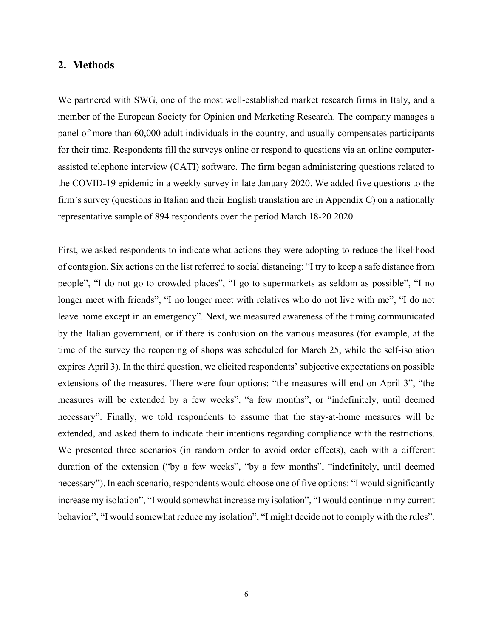#### **2. Methods**

We partnered with SWG, one of the most well-established market research firms in Italy, and a member of the European Society for Opinion and Marketing Research. The company manages a panel of more than 60,000 adult individuals in the country, and usually compensates participants for their time. Respondents fill the surveys online or respond to questions via an online computerassisted telephone interview (CATI) software. The firm began administering questions related to the COVID-19 epidemic in a weekly survey in late January 2020. We added five questions to the firm's survey (questions in Italian and their English translation are in Appendix C) on a nationally representative sample of 894 respondents over the period March 18-20 2020.

First, we asked respondents to indicate what actions they were adopting to reduce the likelihood of contagion. Six actions on the list referred to social distancing: "I try to keep a safe distance from people", "I do not go to crowded places", "I go to supermarkets as seldom as possible", "I no longer meet with friends", "I no longer meet with relatives who do not live with me", "I do not leave home except in an emergency". Next, we measured awareness of the timing communicated by the Italian government, or if there is confusion on the various measures (for example, at the time of the survey the reopening of shops was scheduled for March 25, while the self-isolation expires April 3). In the third question, we elicited respondents' subjective expectations on possible extensions of the measures. There were four options: "the measures will end on April 3", "the measures will be extended by a few weeks", "a few months", or "indefinitely, until deemed necessary". Finally, we told respondents to assume that the stay-at-home measures will be extended, and asked them to indicate their intentions regarding compliance with the restrictions. We presented three scenarios (in random order to avoid order effects), each with a different duration of the extension ("by a few weeks", "by a few months", "indefinitely, until deemed necessary"). In each scenario, respondents would choose one of five options: "I would significantly increase my isolation", "I would somewhat increase my isolation", "I would continue in my current behavior", "I would somewhat reduce my isolation", "I might decide not to comply with the rules".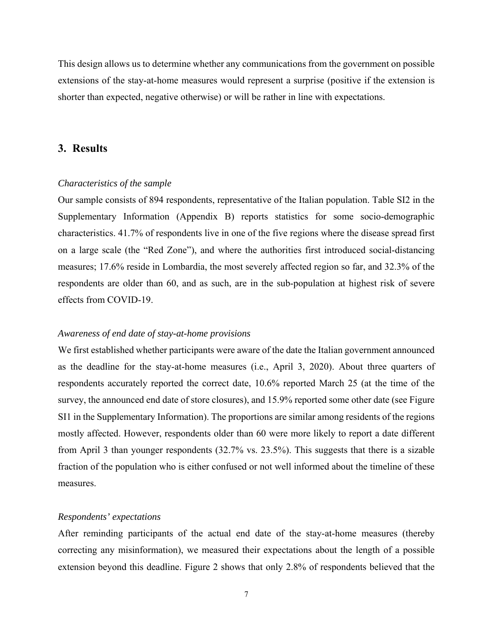This design allows us to determine whether any communications from the government on possible extensions of the stay-at-home measures would represent a surprise (positive if the extension is shorter than expected, negative otherwise) or will be rather in line with expectations.

#### **3. Results**

#### *Characteristics of the sample*

Our sample consists of 894 respondents, representative of the Italian population. Table SI2 in the Supplementary Information (Appendix B) reports statistics for some socio-demographic characteristics. 41.7% of respondents live in one of the five regions where the disease spread first on a large scale (the "Red Zone"), and where the authorities first introduced social-distancing measures; 17.6% reside in Lombardia, the most severely affected region so far, and 32.3% of the respondents are older than 60, and as such, are in the sub-population at highest risk of severe effects from COVID-19.

#### *Awareness of end date of stay-at-home provisions*

We first established whether participants were aware of the date the Italian government announced as the deadline for the stay-at-home measures (i.e., April 3, 2020). About three quarters of respondents accurately reported the correct date, 10.6% reported March 25 (at the time of the survey, the announced end date of store closures), and 15.9% reported some other date (see Figure SI1 in the Supplementary Information). The proportions are similar among residents of the regions mostly affected. However, respondents older than 60 were more likely to report a date different from April 3 than younger respondents (32.7% vs. 23.5%). This suggests that there is a sizable fraction of the population who is either confused or not well informed about the timeline of these measures.

#### *Respondents' expectations*

After reminding participants of the actual end date of the stay-at-home measures (thereby correcting any misinformation), we measured their expectations about the length of a possible extension beyond this deadline. Figure 2 shows that only 2.8% of respondents believed that the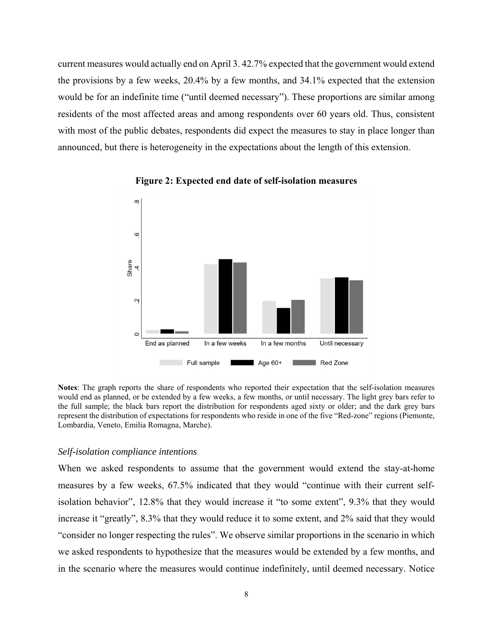current measures would actually end on April 3. 42.7% expected that the government would extend the provisions by a few weeks, 20.4% by a few months, and 34.1% expected that the extension would be for an indefinite time ("until deemed necessary"). These proportions are similar among residents of the most affected areas and among respondents over 60 years old. Thus, consistent with most of the public debates, respondents did expect the measures to stay in place longer than announced, but there is heterogeneity in the expectations about the length of this extension.



**Figure 2: Expected end date of self-isolation measures** 

**Notes**: The graph reports the share of respondents who reported their expectation that the self-isolation measures would end as planned, or be extended by a few weeks, a few months, or until necessary. The light grey bars refer to the full sample; the black bars report the distribution for respondents aged sixty or older; and the dark grey bars represent the distribution of expectations for respondents who reside in one of the five "Red-zone" regions (Piemonte, Lombardia, Veneto, Emilia Romagna, Marche).

#### *Self-isolation compliance intentions*

When we asked respondents to assume that the government would extend the stay-at-home measures by a few weeks, 67.5% indicated that they would "continue with their current selfisolation behavior", 12.8% that they would increase it "to some extent", 9.3% that they would increase it "greatly", 8.3% that they would reduce it to some extent, and 2% said that they would "consider no longer respecting the rules". We observe similar proportions in the scenario in which we asked respondents to hypothesize that the measures would be extended by a few months, and in the scenario where the measures would continue indefinitely, until deemed necessary. Notice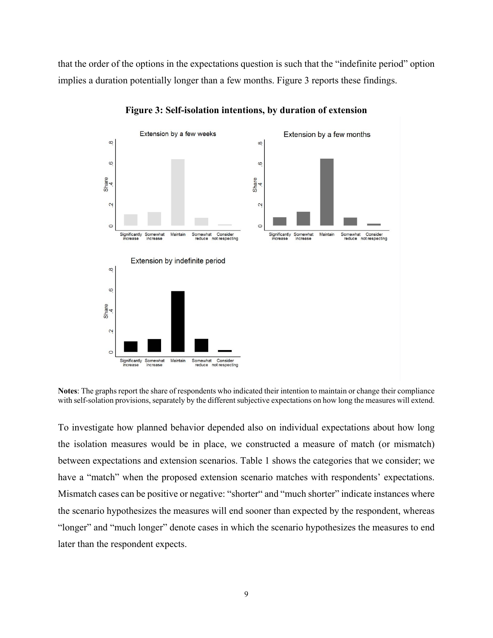that the order of the options in the expectations question is such that the "indefinite period" option implies a duration potentially longer than a few months. Figure 3 reports these findings.



**Figure 3: Self-isolation intentions, by duration of extension**

**Notes**: The graphs report the share of respondents who indicated their intention to maintain or change their compliance with self-solation provisions, separately by the different subjective expectations on how long the measures will extend.

To investigate how planned behavior depended also on individual expectations about how long the isolation measures would be in place, we constructed a measure of match (or mismatch) between expectations and extension scenarios. Table 1 shows the categories that we consider; we have a "match" when the proposed extension scenario matches with respondents' expectations. Mismatch cases can be positive or negative: "shorter" and "much shorter" indicate instances where the scenario hypothesizes the measures will end sooner than expected by the respondent, whereas "longer" and "much longer" denote cases in which the scenario hypothesizes the measures to end later than the respondent expects.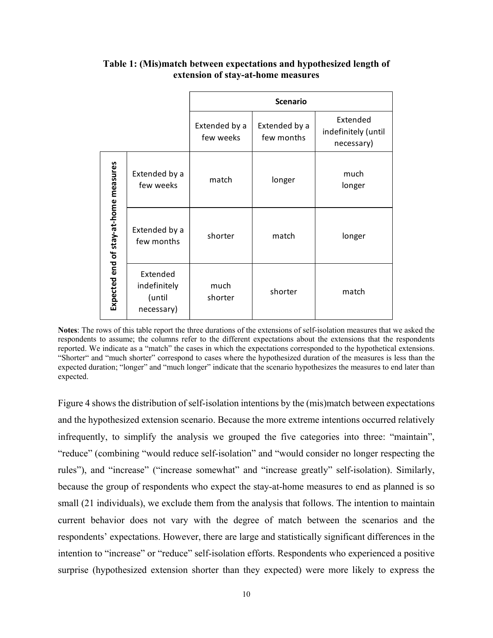|                                       |                                                  | <b>Scenario</b>            |                             |                                               |  |
|---------------------------------------|--------------------------------------------------|----------------------------|-----------------------------|-----------------------------------------------|--|
|                                       |                                                  | Extended by a<br>few weeks | Extended by a<br>few months | Extended<br>indefinitely (until<br>necessary) |  |
|                                       | Extended by a<br>few weeks                       | match                      | longer                      | much<br>longer                                |  |
| Expected end of stay-at-home measures | Extended by a<br>few months                      | shorter                    | match                       | longer                                        |  |
|                                       | Extended<br>indefinitely<br>(until<br>necessary) | much<br>shorter            | shorter                     | match                                         |  |

## **Table 1: (Mis)match between expectations and hypothesized length of extension of stay-at-home measures**

**Notes**: The rows of this table report the three durations of the extensions of self-isolation measures that we asked the respondents to assume; the columns refer to the different expectations about the extensions that the respondents reported. We indicate as a "match" the cases in which the expectations corresponded to the hypothetical extensions. "Shorter" and "much shorter" correspond to cases where the hypothesized duration of the measures is less than the expected duration; "longer" and "much longer" indicate that the scenario hypothesizes the measures to end later than expected.

Figure 4 shows the distribution of self-isolation intentions by the (mis)match between expectations and the hypothesized extension scenario. Because the more extreme intentions occurred relatively infrequently, to simplify the analysis we grouped the five categories into three: "maintain", "reduce" (combining "would reduce self-isolation" and "would consider no longer respecting the rules"), and "increase" ("increase somewhat" and "increase greatly" self-isolation). Similarly, because the group of respondents who expect the stay-at-home measures to end as planned is so small (21 individuals), we exclude them from the analysis that follows. The intention to maintain current behavior does not vary with the degree of match between the scenarios and the respondents' expectations. However, there are large and statistically significant differences in the intention to "increase" or "reduce" self-isolation efforts. Respondents who experienced a positive surprise (hypothesized extension shorter than they expected) were more likely to express the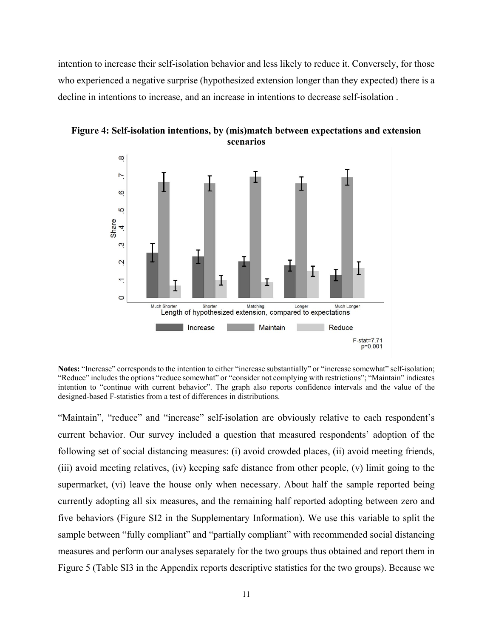intention to increase their self-isolation behavior and less likely to reduce it. Conversely, for those who experienced a negative surprise (hypothesized extension longer than they expected) there is a decline in intentions to increase, and an increase in intentions to decrease self-isolation .



**Figure 4: Self-isolation intentions, by (mis)match between expectations and extension scenarios** 

**Notes:** "Increase" corresponds to the intention to either "increase substantially" or "increase somewhat" self-isolation; "Reduce" includes the options "reduce somewhat" or "consider not complying with restrictions"; "Maintain" indicates intention to "continue with current behavior". The graph also reports confidence intervals and the value of the designed-based F-statistics from a test of differences in distributions.

"Maintain", "reduce" and "increase" self-isolation are obviously relative to each respondent's current behavior. Our survey included a question that measured respondents' adoption of the following set of social distancing measures: (i) avoid crowded places, (ii) avoid meeting friends, (iii) avoid meeting relatives, (iv) keeping safe distance from other people, (v) limit going to the supermarket, (vi) leave the house only when necessary. About half the sample reported being currently adopting all six measures, and the remaining half reported adopting between zero and five behaviors (Figure SI2 in the Supplementary Information). We use this variable to split the sample between "fully compliant" and "partially compliant" with recommended social distancing measures and perform our analyses separately for the two groups thus obtained and report them in Figure 5 (Table SI3 in the Appendix reports descriptive statistics for the two groups). Because we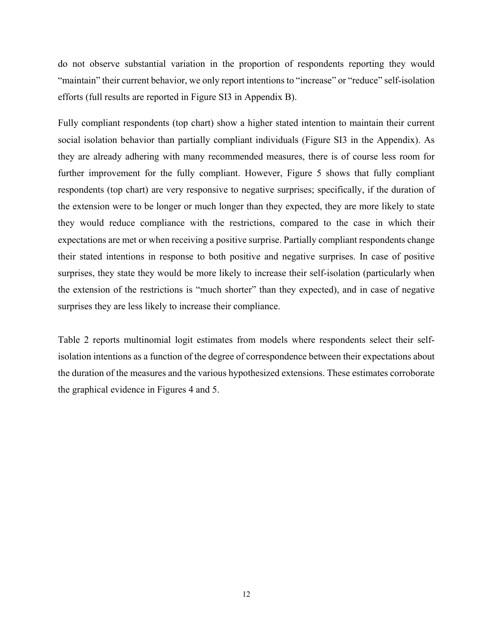do not observe substantial variation in the proportion of respondents reporting they would "maintain" their current behavior, we only report intentions to "increase" or "reduce" self-isolation efforts (full results are reported in Figure SI3 in Appendix B).

Fully compliant respondents (top chart) show a higher stated intention to maintain their current social isolation behavior than partially compliant individuals (Figure SI3 in the Appendix). As they are already adhering with many recommended measures, there is of course less room for further improvement for the fully compliant. However, Figure 5 shows that fully compliant respondents (top chart) are very responsive to negative surprises; specifically, if the duration of the extension were to be longer or much longer than they expected, they are more likely to state they would reduce compliance with the restrictions, compared to the case in which their expectations are met or when receiving a positive surprise. Partially compliant respondents change their stated intentions in response to both positive and negative surprises. In case of positive surprises, they state they would be more likely to increase their self-isolation (particularly when the extension of the restrictions is "much shorter" than they expected), and in case of negative surprises they are less likely to increase their compliance.

Table 2 reports multinomial logit estimates from models where respondents select their selfisolation intentions as a function of the degree of correspondence between their expectations about the duration of the measures and the various hypothesized extensions. These estimates corroborate the graphical evidence in Figures 4 and 5.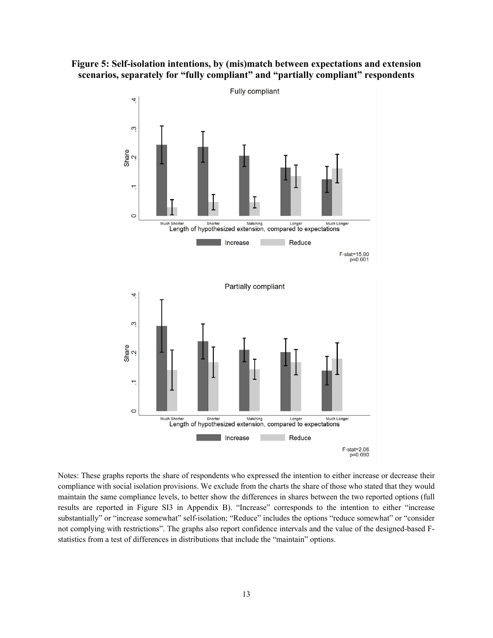



Notes: These graphs reports the share of respondents who expressed the intention to either increase or decrease their compliance with social isolation provisions. We exclude from the charts the share of those who stated that they would maintain the same compliance levels, to better show the differences in shares between the two reported options (full results are reported in Figure SI3 in Appendix B). "Increase" corresponds to the intention to either "increase substantially" or "increase somewhat" self-isolation; "Reduce" includes the options "reduce somewhat" or "consider not complying with restrictions". The graphs also report confidence intervals and the value of the designed-based Fstatistics from a test of differences in distributions that include the "maintain" options.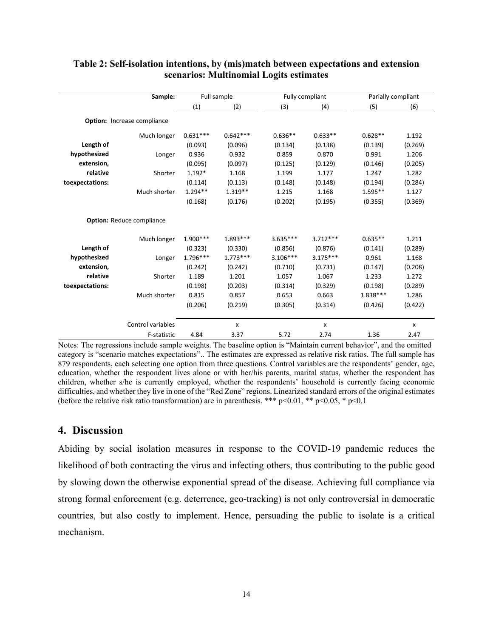|                 | Sample:                          | Full sample |            | Fully compliant |            | Parially compliant |         |
|-----------------|----------------------------------|-------------|------------|-----------------|------------|--------------------|---------|
|                 |                                  | (1)         | (2)        | (3)             | (4)        | (5)                | (6)     |
|                 | Option: Increase compliance      |             |            |                 |            |                    |         |
|                 | Much longer                      | $0.631***$  | $0.642***$ | $0.636**$       | $0.633**$  | $0.628**$          | 1.192   |
| Length of       |                                  | (0.093)     | (0.096)    | (0.134)         | (0.138)    | (0.139)            | (0.269) |
| hypothesized    | Longer                           | 0.936       | 0.932      | 0.859           | 0.870      | 0.991              | 1.206   |
| extension,      |                                  | (0.095)     | (0.097)    | (0.125)         | (0.129)    | (0.146)            | (0.205) |
| relative        | Shorter                          | $1.192*$    | 1.168      | 1.199           | 1.177      | 1.247              | 1.282   |
| toexpectations: |                                  | (0.114)     | (0.113)    | (0.148)         | (0.148)    | (0.194)            | (0.284) |
|                 | Much shorter                     | $1.294**$   | $1.319**$  | 1.215           | 1.168      | $1.595**$          | 1.127   |
|                 |                                  | (0.168)     | (0.176)    | (0.202)         | (0.195)    | (0.355)            | (0.369) |
|                 | <b>Option: Reduce compliance</b> |             |            |                 |            |                    |         |
|                 | Much longer                      | $1.900***$  | $1.893***$ | $3.635***$      | $3.712***$ | $0.635**$          | 1.211   |
| Length of       |                                  | (0.323)     | (0.330)    | (0.856)         | (0.876)    | (0.141)            | (0.289) |
| hypothesized    | Longer                           | $1.796***$  | $1.773***$ | $3.106***$      | $3.175***$ | 0.961              | 1.168   |
| extension,      |                                  | (0.242)     | (0.242)    | (0.710)         | (0.731)    | (0.147)            | (0.208) |
| relative        | Shorter                          | 1.189       | 1.201      | 1.057           | 1.067      | 1.233              | 1.272   |
| toexpectations: |                                  | (0.198)     | (0.203)    | (0.314)         | (0.329)    | (0.198)            | (0.289) |
|                 | Much shorter                     | 0.815       | 0.857      | 0.653           | 0.663      | 1.838 ***          | 1.286   |
|                 |                                  | (0.206)     | (0.219)    | (0.305)         | (0.314)    | (0.426)            | (0.422) |
|                 | Control variables                |             | X          |                 | X          |                    | x       |
|                 | F-statistic                      | 4.84        | 3.37       | 5.72            | 2.74       | 1.36               | 2.47    |

#### **Table 2: Self-isolation intentions, by (mis)match between expectations and extension scenarios: Multinomial Logits estimates**

Notes: The regressions include sample weights. The baseline option is "Maintain current behavior", and the omitted category is "scenario matches expectations".. The estimates are expressed as relative risk ratios. The full sample has 879 respondents, each selecting one option from three questions. Control variables are the respondents' gender, age, education, whether the respondent lives alone or with her/his parents, marital status, whether the respondent has children, whether s/he is currently employed, whether the respondents' household is currently facing economic difficulties, and whether they live in one of the "Red Zone" regions. Linearized standard errors of the original estimates (before the relative risk ratio transformation) are in parenthesis. \*\*\* p<0.01, \*\* p<0.05, \* p<0.1

## **4. Discussion**

Abiding by social isolation measures in response to the COVID-19 pandemic reduces the likelihood of both contracting the virus and infecting others, thus contributing to the public good by slowing down the otherwise exponential spread of the disease. Achieving full compliance via strong formal enforcement (e.g. deterrence, geo-tracking) is not only controversial in democratic countries, but also costly to implement. Hence, persuading the public to isolate is a critical mechanism.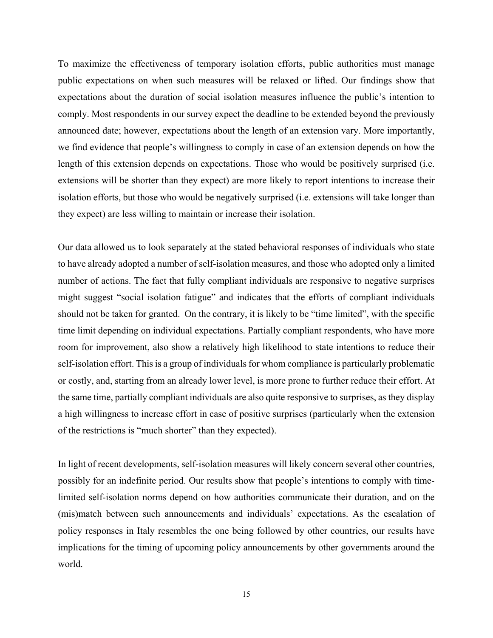To maximize the effectiveness of temporary isolation efforts, public authorities must manage public expectations on when such measures will be relaxed or lifted. Our findings show that expectations about the duration of social isolation measures influence the public's intention to comply. Most respondents in our survey expect the deadline to be extended beyond the previously announced date; however, expectations about the length of an extension vary. More importantly, we find evidence that people's willingness to comply in case of an extension depends on how the length of this extension depends on expectations. Those who would be positively surprised (i.e. extensions will be shorter than they expect) are more likely to report intentions to increase their isolation efforts, but those who would be negatively surprised (i.e. extensions will take longer than they expect) are less willing to maintain or increase their isolation.

Our data allowed us to look separately at the stated behavioral responses of individuals who state to have already adopted a number of self-isolation measures, and those who adopted only a limited number of actions. The fact that fully compliant individuals are responsive to negative surprises might suggest "social isolation fatigue" and indicates that the efforts of compliant individuals should not be taken for granted. On the contrary, it is likely to be "time limited", with the specific time limit depending on individual expectations. Partially compliant respondents, who have more room for improvement, also show a relatively high likelihood to state intentions to reduce their self-isolation effort. This is a group of individuals for whom compliance is particularly problematic or costly, and, starting from an already lower level, is more prone to further reduce their effort. At the same time, partially compliant individuals are also quite responsive to surprises, as they display a high willingness to increase effort in case of positive surprises (particularly when the extension of the restrictions is "much shorter" than they expected).

In light of recent developments, self-isolation measures will likely concern several other countries, possibly for an indefinite period. Our results show that people's intentions to comply with timelimited self-isolation norms depend on how authorities communicate their duration, and on the (mis)match between such announcements and individuals' expectations. As the escalation of policy responses in Italy resembles the one being followed by other countries, our results have implications for the timing of upcoming policy announcements by other governments around the world.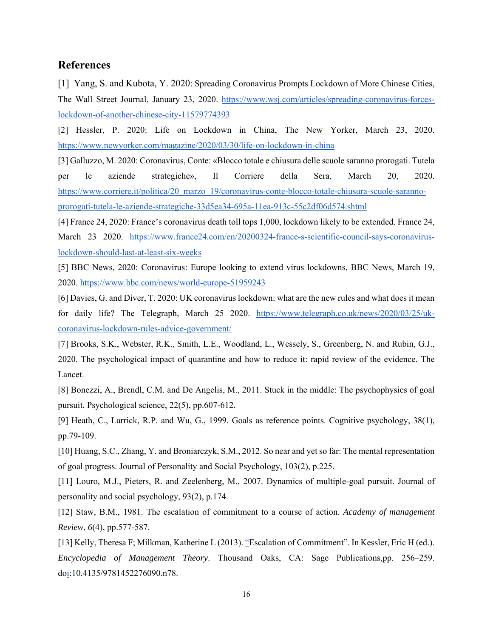#### **References**

[1] Yang, S. and Kubota, Y. 2020: Spreading Coronavirus Prompts Lockdown of More Chinese Cities, The Wall Street Journal, January 23, 2020. https://www.wsj.com/articles/spreading-coronavirus-forceslockdown-of-another-chinese-city-11579774393

[2] Hessler, P. 2020: Life on Lockdown in China, The New Yorker, March 23, 2020. https://www.newyorker.com/magazine/2020/03/30/life-on-lockdown-in-china

[3] Galluzzo, M. 2020: Coronavirus, Conte: «Blocco totale e chiusura delle scuole saranno prorogati. Tutela per le aziende strategiche», Il Corriere della Sera, March 20, 2020. https://www.corriere.it/politica/20\_marzo\_19/coronavirus-conte-blocco-totale-chiusura-scuole-sarannoprorogati-tutela-le-aziende-strategiche-33d5ea34-695a-11ea-913c-55c2df06d574.shtml

[4] France 24, 2020: France's coronavirus death toll tops 1,000, lockdown likely to be extended. France 24, March 23 2020. https://www.france24.com/en/20200324-france-s-scientific-council-says-coronaviruslockdown-should-last-at-least-six-weeks

[5] BBC News, 2020: Coronavirus: Europe looking to extend virus lockdowns, BBC News, March 19, 2020. https://www.bbc.com/news/world-europe-51959243

[6] Davies, G. and Diver, T. 2020: UK coronavirus lockdown: what are the new rules and what does it mean for daily life? The Telegraph, March 25 2020. https://www.telegraph.co.uk/news/2020/03/25/ukcoronavirus-lockdown-rules-advice-government/

[7] Brooks, S.K., Webster, R.K., Smith, L.E., Woodland, L., Wessely, S., Greenberg, N. and Rubin, G.J., 2020. The psychological impact of quarantine and how to reduce it: rapid review of the evidence. The Lancet.

[8] Bonezzi, A., Brendl, C.M. and De Angelis, M., 2011. Stuck in the middle: The psychophysics of goal pursuit. Psychological science, 22(5), pp.607-612.

[9] Heath, C., Larrick, R.P. and Wu, G., 1999. Goals as reference points. Cognitive psychology, 38(1), pp.79-109.

[10] Huang, S.C., Zhang, Y. and Broniarczyk, S.M., 2012. So near and yet so far: The mental representation of goal progress. Journal of Personality and Social Psychology, 103(2), p.225.

[11] Louro, M.J., Pieters, R. and Zeelenberg, M., 2007. Dynamics of multiple-goal pursuit. Journal of personality and social psychology, 93(2), p.174.

[12] Staw, B.M., 1981. The escalation of commitment to a course of action. *Academy of management Review*, *6*(4), pp.577-587.

[13] Kelly, Theresa F; Milkman, Katherine L (2013). "Escalation of Commitment". In Kessler, Eric H (ed.). *Encyclopedia of Management Theory*. Thousand Oaks, CA: Sage Publications,pp. 256–259. doi:10.4135/9781452276090.n78.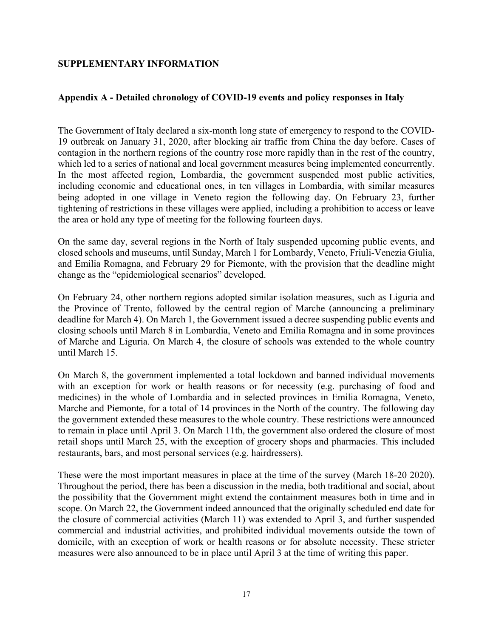### **SUPPLEMENTARY INFORMATION**

### **Appendix A - Detailed chronology of COVID-19 events and policy responses in Italy**

The Government of Italy declared a six-month long state of emergency to respond to the COVID-19 outbreak on January 31, 2020, after blocking air traffic from China the day before. Cases of contagion in the northern regions of the country rose more rapidly than in the rest of the country, which led to a series of national and local government measures being implemented concurrently. In the most affected region, Lombardia, the government suspended most public activities, including economic and educational ones, in ten villages in Lombardia, with similar measures being adopted in one village in Veneto region the following day. On February 23, further tightening of restrictions in these villages were applied, including a prohibition to access or leave the area or hold any type of meeting for the following fourteen days.

On the same day, several regions in the North of Italy suspended upcoming public events, and closed schools and museums, until Sunday, March 1 for Lombardy, Veneto, Friuli-Venezia Giulia, and Emilia Romagna, and February 29 for Piemonte, with the provision that the deadline might change as the "epidemiological scenarios" developed.

On February 24, other northern regions adopted similar isolation measures, such as Liguria and the Province of Trento, followed by the central region of Marche (announcing a preliminary deadline for March 4). On March 1, the Government issued a decree suspending public events and closing schools until March 8 in Lombardia, Veneto and Emilia Romagna and in some provinces of Marche and Liguria. On March 4, the closure of schools was extended to the whole country until March 15.

On March 8, the government implemented a total lockdown and banned individual movements with an exception for work or health reasons or for necessity (e.g. purchasing of food and medicines) in the whole of Lombardia and in selected provinces in Emilia Romagna, Veneto, Marche and Piemonte, for a total of 14 provinces in the North of the country. The following day the government extended these measures to the whole country. These restrictions were announced to remain in place until April 3. On March 11th, the government also ordered the closure of most retail shops until March 25, with the exception of grocery shops and pharmacies. This included restaurants, bars, and most personal services (e.g. hairdressers).

These were the most important measures in place at the time of the survey (March 18-20 2020). Throughout the period, there has been a discussion in the media, both traditional and social, about the possibility that the Government might extend the containment measures both in time and in scope. On March 22, the Government indeed announced that the originally scheduled end date for the closure of commercial activities (March 11) was extended to April 3, and further suspended commercial and industrial activities, and prohibited individual movements outside the town of domicile, with an exception of work or health reasons or for absolute necessity. These stricter measures were also announced to be in place until April 3 at the time of writing this paper.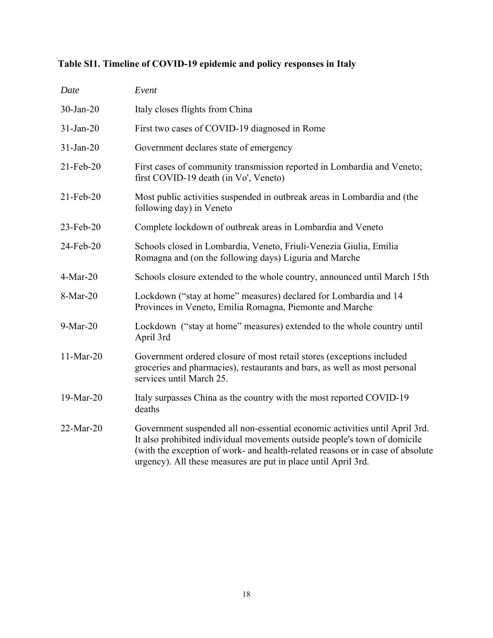## **Table SI1. Timeline of COVID-19 epidemic and policy responses in Italy**

| Date         | Event                                                                                                                                                                                                                                                                                                        |
|--------------|--------------------------------------------------------------------------------------------------------------------------------------------------------------------------------------------------------------------------------------------------------------------------------------------------------------|
| $30$ -Jan-20 | Italy closes flights from China                                                                                                                                                                                                                                                                              |
| $31-Jan-20$  | First two cases of COVID-19 diagnosed in Rome                                                                                                                                                                                                                                                                |
| $31-Jan-20$  | Government declares state of emergency                                                                                                                                                                                                                                                                       |
| 21-Feb-20    | First cases of community transmission reported in Lombardia and Veneto;<br>first COVID-19 death (in Vo', Veneto)                                                                                                                                                                                             |
| $21$ -Feb-20 | Most public activities suspended in outbreak areas in Lombardia and (the<br>following day) in Veneto                                                                                                                                                                                                         |
| 23-Feb-20    | Complete lockdown of outbreak areas in Lombardia and Veneto                                                                                                                                                                                                                                                  |
| 24-Feb-20    | Schools closed in Lombardia, Veneto, Friuli-Venezia Giulia, Emilia<br>Romagna and (on the following days) Liguria and Marche                                                                                                                                                                                 |
| $4-Mar-20$   | Schools closure extended to the whole country, announced until March 15th                                                                                                                                                                                                                                    |
| 8-Mar-20     | Lockdown ("stay at home" measures) declared for Lombardia and 14<br>Provinces in Veneto, Emilia Romagna, Piemonte and Marche                                                                                                                                                                                 |
| 9-Mar-20     | Lockdown ("stay at home" measures) extended to the whole country until<br>April 3rd                                                                                                                                                                                                                          |
| $11-Mar-20$  | Government ordered closure of most retail stores (exceptions included<br>groceries and pharmacies), restaurants and bars, as well as most personal<br>services until March 25.                                                                                                                               |
| 19-Mar-20    | Italy surpasses China as the country with the most reported COVID-19<br>deaths                                                                                                                                                                                                                               |
| 22-Mar-20    | Government suspended all non-essential economic activities until April 3rd.<br>It also prohibited individual movements outside people's town of domicile<br>(with the exception of work- and health-related reasons or in case of absolute<br>urgency). All these measures are put in place until April 3rd. |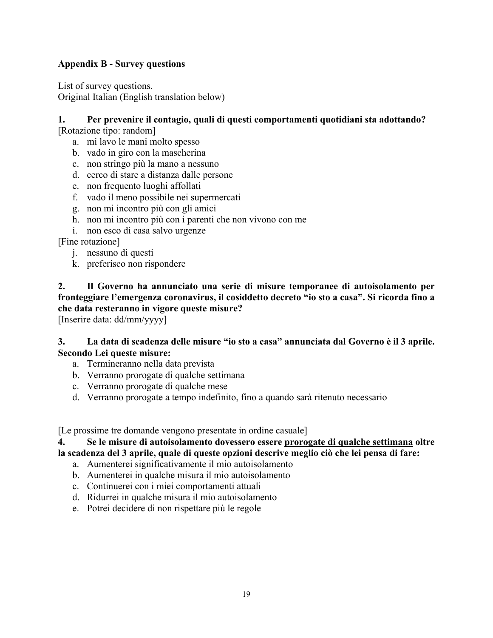## **Appendix B - Survey questions**

List of survey questions. Original Italian (English translation below)

## **1. Per prevenire il contagio, quali di questi comportamenti quotidiani sta adottando?**

[Rotazione tipo: random]

- a. mi lavo le mani molto spesso
- b. vado in giro con la mascherina
- c. non stringo più la mano a nessuno
- d. cerco di stare a distanza dalle persone
- e. non frequento luoghi affollati
- f. vado il meno possibile nei supermercati
- g. non mi incontro più con gli amici
- h. non mi incontro più con i parenti che non vivono con me
- i. non esco di casa salvo urgenze

[Fine rotazione]

- j. nessuno di questi
- k. preferisco non rispondere

**2. Il Governo ha annunciato una serie di misure temporanee di autoisolamento per fronteggiare l'emergenza coronavirus, il cosiddetto decreto "io sto a casa". Si ricorda fino a che data resteranno in vigore queste misure?** 

[Inserire data: dd/mm/yyyy]

#### **3. La data di scadenza delle misure "io sto a casa" annunciata dal Governo è il 3 aprile. Secondo Lei queste misure:**

- a. Termineranno nella data prevista
- b. Verranno prorogate di qualche settimana
- c. Verranno prorogate di qualche mese
- d. Verranno prorogate a tempo indefinito, fino a quando sarà ritenuto necessario

[Le prossime tre domande vengono presentate in ordine casuale]

#### **4. Se le misure di autoisolamento dovessero essere prorogate di qualche settimana oltre**

**la scadenza del 3 aprile, quale di queste opzioni descrive meglio ciò che lei pensa di fare:** 

- a. Aumenterei significativamente il mio autoisolamento
- b. Aumenterei in qualche misura il mio autoisolamento
- c. Continuerei con i miei comportamenti attuali
- d. Ridurrei in qualche misura il mio autoisolamento
- e. Potrei decidere di non rispettare più le regole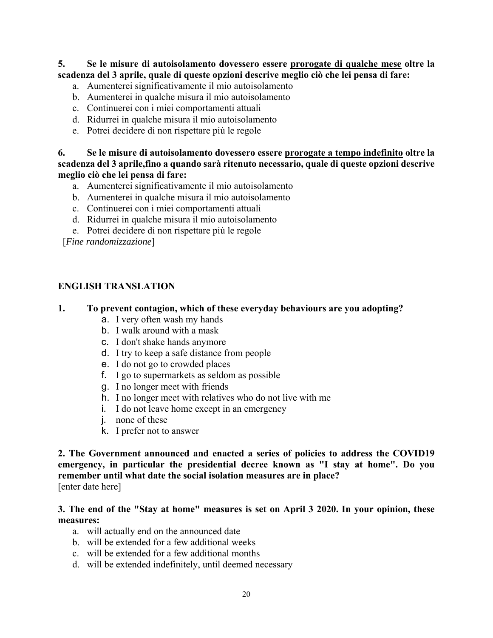**5. Se le misure di autoisolamento dovessero essere prorogate di qualche mese oltre la scadenza del 3 aprile, quale di queste opzioni descrive meglio ciò che lei pensa di fare:** 

- a. Aumenterei significativamente il mio autoisolamento
- b. Aumenterei in qualche misura il mio autoisolamento
- c. Continuerei con i miei comportamenti attuali
- d. Ridurrei in qualche misura il mio autoisolamento
- e. Potrei decidere di non rispettare più le regole

**6. Se le misure di autoisolamento dovessero essere prorogate a tempo indefinito oltre la scadenza del 3 aprile,fino a quando sarà ritenuto necessario, quale di queste opzioni descrive meglio ciò che lei pensa di fare:** 

- a. Aumenterei significativamente il mio autoisolamento
- b. Aumenterei in qualche misura il mio autoisolamento
- c. Continuerei con i miei comportamenti attuali
- d. Ridurrei in qualche misura il mio autoisolamento
- e. Potrei decidere di non rispettare più le regole

[*Fine randomizzazione*]

### **ENGLISH TRANSLATION**

#### **1. To prevent contagion, which of these everyday behaviours are you adopting?**

- a. I very often wash my hands
- b. I walk around with a mask
- c. I don't shake hands anymore
- d. I try to keep a safe distance from people
- e. I do not go to crowded places
- f. I go to supermarkets as seldom as possible
- g. I no longer meet with friends
- h. I no longer meet with relatives who do not live with me
- i. I do not leave home except in an emergency
- j. none of these
- k. I prefer not to answer

**2. The Government announced and enacted a series of policies to address the COVID19 emergency, in particular the presidential decree known as "I stay at home". Do you remember until what date the social isolation measures are in place?**  [enter date here]

### **3. The end of the "Stay at home" measures is set on April 3 2020. In your opinion, these measures:**

- a. will actually end on the announced date
- b. will be extended for a few additional weeks
- c. will be extended for a few additional months
- d. will be extended indefinitely, until deemed necessary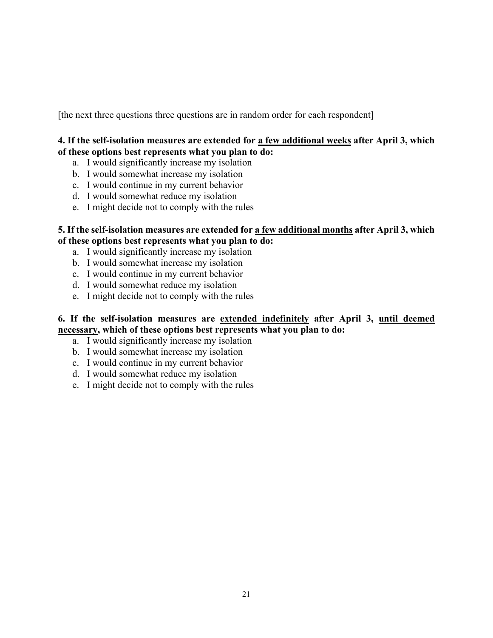[the next three questions three questions are in random order for each respondent]

## **4. If the self-isolation measures are extended for a few additional weeks after April 3, which of these options best represents what you plan to do:**

- a. I would significantly increase my isolation
- b. I would somewhat increase my isolation
- c. I would continue in my current behavior
- d. I would somewhat reduce my isolation
- e. I might decide not to comply with the rules

### **5. If the self-isolation measures are extended for a few additional months after April 3, which of these options best represents what you plan to do:**

- a. I would significantly increase my isolation
- b. I would somewhat increase my isolation
- c. I would continue in my current behavior
- d. I would somewhat reduce my isolation
- e. I might decide not to comply with the rules

## **6. If the self-isolation measures are extended indefinitely after April 3, until deemed necessary, which of these options best represents what you plan to do:**

- a. I would significantly increase my isolation
- b. I would somewhat increase my isolation
- c. I would continue in my current behavior
- d. I would somewhat reduce my isolation
- e. I might decide not to comply with the rules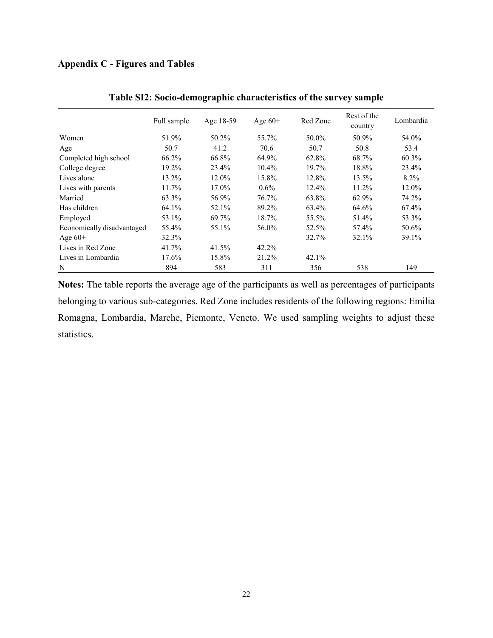## **Appendix C - Figures and Tables**

|                            | Full sample | Age 18-59 | Age $60+$ | Red Zone | Rest of the<br>country | Lombardia |
|----------------------------|-------------|-----------|-----------|----------|------------------------|-----------|
| Women                      | 51.9%       | 50.2%     | 55.7%     | 50.0%    | 50.9%                  | 54.0%     |
| Age                        | 50.7        | 41.2      | 70.6      | 50.7     | 50.8                   | 53.4      |
| Completed high school      | 66.2%       | 66.8%     | 64.9%     | 62.8%    | 68.7%                  | 60.3%     |
| College degree             | 19.2%       | 23.4%     | $10.4\%$  | 19.7%    | 18.8%                  | 23.4%     |
| Lives alone                | 13.2%       | 12.0%     | 15.8%     | 12.8%    | 13.5%                  | 8.2%      |
| Lives with parents         | 11.7%       | 17.0%     | $0.6\%$   | $12.4\%$ | 11.2%                  | 12.0%     |
| Married                    | 63.3%       | 56.9%     | 76.7%     | 63.8%    | 62.9%                  | 74.2%     |
| Has children               | 64.1%       | 52.1%     | 89.2%     | 63.4%    | 64.6%                  | 67.4%     |
| Employed                   | 53.1%       | 69.7%     | 18.7%     | 55.5%    | 51.4%                  | 53.3%     |
| Economically disadvantaged | 55.4%       | 55.1%     | 56.0%     | 52.5%    | 57.4%                  | 50.6%     |
| Age $60+$                  | 32.3%       |           |           | 32.7%    | 32.1%                  | 39.1%     |
| Lives in Red Zone          | 41.7%       | 41.5%     | 42.2%     |          |                        |           |
| Lives in Lombardia         | 17.6%       | 15.8%     | 21.2%     | 42.1%    |                        |           |
| N                          | 894         | 583       | 311       | 356      | 538                    | 149       |

|  | Table SI2: Socio-demographic characteristics of the survey sample |  |
|--|-------------------------------------------------------------------|--|
|  |                                                                   |  |

**Notes:** The table reports the average age of the participants as well as percentages of participants belonging to various sub-categories. Red Zone includes residents of the following regions: Emilia Romagna, Lombardia, Marche, Piemonte, Veneto. We used sampling weights to adjust these statistics.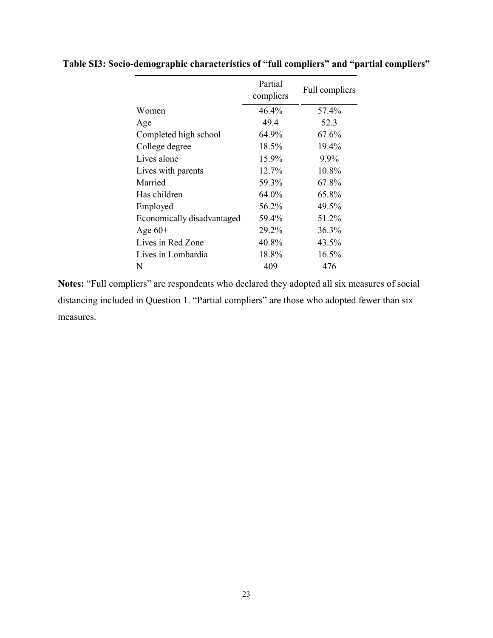|                            | Partial<br>compliers | Full compliers |
|----------------------------|----------------------|----------------|
| Women                      | 46.4%                | 57.4%          |
| Age                        | 49.4                 | 52.3           |
| Completed high school      | 64.9%                | 67.6%          |
| College degree             | 18.5%                | 19.4%          |
| Lives alone                | 15.9%                | 9.9%           |
| Lives with parents         | 12.7%                | 10.8%          |
| Married                    | 59.3%                | 67.8%          |
| Has children               | 64.0%                | 65.8%          |
| Employed                   | 56.2%                | 49.5%          |
| Economically disadvantaged | 59.4%                | 51.2%          |
| Age $60+$                  | 29.2%                | 36.3%          |
| Lives in Red Zone          | 40.8%                | 43.5%          |
| Lives in Lombardia         | 18.8%                | 16.5%          |
| N                          | 409                  | 476            |

**Table SI3: Socio-demographic characteristics of "full compliers" and "partial compliers"** 

**Notes:** "Full compliers" are respondents who declared they adopted all six measures of social distancing included in Question 1. "Partial compliers" are those who adopted fewer than six measures.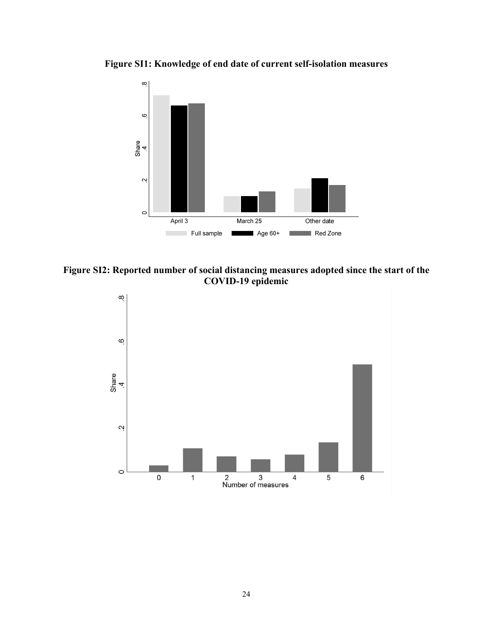**Figure SI1: Knowledge of end date of current self-isolation measures** 



**Figure SI2: Reported number of social distancing measures adopted since the start of the COVID-19 epidemic**